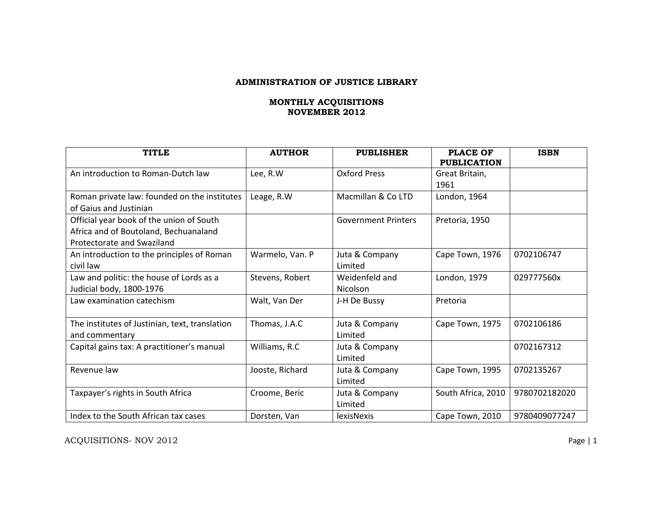## **ADMINISTRATION OF JUSTICE LIBRARY**

## **MONTHLY ACQUISITIONS NOVEMBER 2012**

| <b>TITLE</b>                                   | <b>AUTHOR</b>   | <b>PUBLISHER</b>           | <b>PLACE OF</b><br><b>PUBLICATION</b> | <b>ISBN</b>   |
|------------------------------------------------|-----------------|----------------------------|---------------------------------------|---------------|
| An introduction to Roman-Dutch law             | Lee, R.W        | <b>Oxford Press</b>        | Great Britain,                        |               |
|                                                |                 |                            | 1961                                  |               |
| Roman private law: founded on the institutes   | Leage, R.W      | Macmillan & Co LTD         | London, 1964                          |               |
| of Gaius and Justinian                         |                 |                            |                                       |               |
| Official year book of the union of South       |                 | <b>Government Printers</b> | Pretoria, 1950                        |               |
| Africa and of Boutoland, Bechuanaland          |                 |                            |                                       |               |
| Protectorate and Swaziland                     |                 |                            |                                       |               |
| An introduction to the principles of Roman     | Warmelo, Van. P | Juta & Company             | Cape Town, 1976                       | 0702106747    |
| civil law                                      |                 | Limited                    |                                       |               |
| Law and politic: the house of Lords as a       | Stevens, Robert | Weidenfeld and             | London, 1979                          | 029777560x    |
| Judicial body, 1800-1976                       |                 | Nicolson                   |                                       |               |
| Law examination catechism                      | Walt, Van Der   | J-H De Bussy               | Pretoria                              |               |
|                                                |                 |                            |                                       |               |
| The institutes of Justinian, text, translation | Thomas, J.A.C   | Juta & Company             | Cape Town, 1975                       | 0702106186    |
| and commentary                                 |                 | Limited                    |                                       |               |
| Capital gains tax: A practitioner's manual     | Williams, R.C   | Juta & Company             |                                       | 0702167312    |
|                                                |                 | Limited                    |                                       |               |
| Revenue law                                    | Jooste, Richard | Juta & Company             | Cape Town, 1995                       | 0702135267    |
|                                                |                 | Limited                    |                                       |               |
| Taxpayer's rights in South Africa              | Croome, Beric   | Juta & Company             | South Africa, 2010                    | 9780702182020 |
|                                                |                 | Limited                    |                                       |               |
| Index to the South African tax cases           | Dorsten, Van    | <b>lexisNexis</b>          | Cape Town, 2010                       | 9780409077247 |

ACQUISITIONS- NOV 2012 Page | 1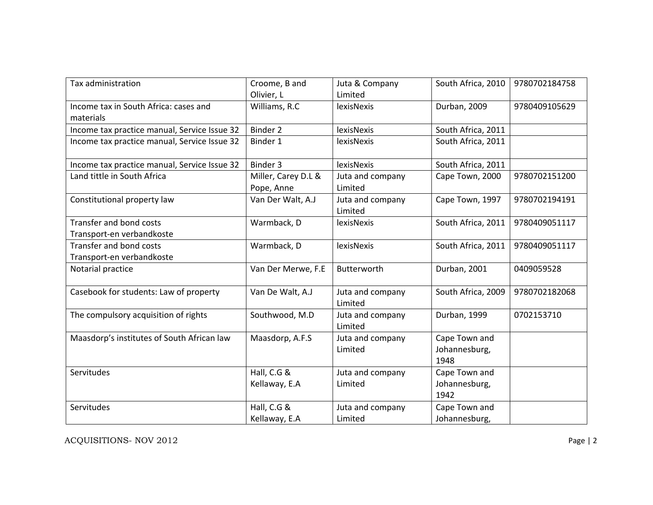| Tax administration                                   | Croome, B and<br>Olivier, L       | Juta & Company<br>Limited   | South Africa, 2010                     | 9780702184758 |
|------------------------------------------------------|-----------------------------------|-----------------------------|----------------------------------------|---------------|
| Income tax in South Africa: cases and<br>materials   | Williams, R.C                     | <b>lexisNexis</b>           | Durban, 2009                           | 9780409105629 |
| Income tax practice manual, Service Issue 32         | Binder 2                          | <b>lexisNexis</b>           | South Africa, 2011                     |               |
| Income tax practice manual, Service Issue 32         | Binder 1                          | lexisNexis                  | South Africa, 2011                     |               |
| Income tax practice manual, Service Issue 32         | Binder 3                          | lexisNexis                  | South Africa, 2011                     |               |
| Land tittle in South Africa                          | Miller, Carey D.L &<br>Pope, Anne | Juta and company<br>Limited | Cape Town, 2000                        | 9780702151200 |
| Constitutional property law                          | Van Der Walt, A.J                 | Juta and company<br>Limited | Cape Town, 1997                        | 9780702194191 |
| Transfer and bond costs<br>Transport-en verbandkoste | Warmback, D                       | lexisNexis                  | South Africa, 2011                     | 9780409051117 |
| Transfer and bond costs<br>Transport-en verbandkoste | Warmback, D                       | <b>lexisNexis</b>           | South Africa, 2011                     | 9780409051117 |
| Notarial practice                                    | Van Der Merwe, F.E                | Butterworth                 | Durban, 2001                           | 0409059528    |
| Casebook for students: Law of property               | Van De Walt, A.J                  | Juta and company<br>Limited | South Africa, 2009                     | 9780702182068 |
| The compulsory acquisition of rights                 | Southwood, M.D                    | Juta and company<br>Limited | Durban, 1999                           | 0702153710    |
| Maasdorp's institutes of South African law           | Maasdorp, A.F.S                   | Juta and company<br>Limited | Cape Town and<br>Johannesburg,<br>1948 |               |
| Servitudes                                           | Hall, C.G &<br>Kellaway, E.A      | Juta and company<br>Limited | Cape Town and<br>Johannesburg,<br>1942 |               |
| Servitudes                                           | Hall, C.G &<br>Kellaway, E.A      | Juta and company<br>Limited | Cape Town and<br>Johannesburg,         |               |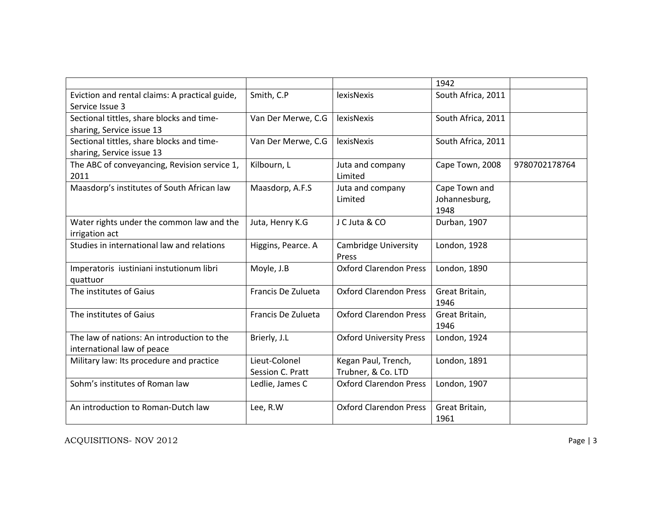|                                                                          |                                   |                                           | 1942                                   |               |
|--------------------------------------------------------------------------|-----------------------------------|-------------------------------------------|----------------------------------------|---------------|
| Eviction and rental claims: A practical guide,<br>Service Issue 3        | Smith, C.P                        | lexisNexis                                | South Africa, 2011                     |               |
| Sectional tittles, share blocks and time-<br>sharing, Service issue 13   | Van Der Merwe, C.G                | <b>lexisNexis</b>                         | South Africa, 2011                     |               |
| Sectional tittles, share blocks and time-<br>sharing, Service issue 13   | Van Der Merwe, C.G                | <b>lexisNexis</b>                         | South Africa, 2011                     |               |
| The ABC of conveyancing, Revision service 1,<br>2011                     | Kilbourn, L                       | Juta and company<br>Limited               | Cape Town, 2008                        | 9780702178764 |
| Maasdorp's institutes of South African law                               | Maasdorp, A.F.S                   | Juta and company<br>Limited               | Cape Town and<br>Johannesburg,<br>1948 |               |
| Water rights under the common law and the<br>irrigation act              | Juta, Henry K.G                   | J C Juta & CO                             | Durban, 1907                           |               |
| Studies in international law and relations                               | Higgins, Pearce. A                | <b>Cambridge University</b><br>Press      | London, 1928                           |               |
| Imperatoris iustiniani instutionum libri<br>quattuor                     | Moyle, J.B                        | <b>Oxford Clarendon Press</b>             | London, 1890                           |               |
| The institutes of Gaius                                                  | Francis De Zulueta                | <b>Oxford Clarendon Press</b>             | Great Britain,<br>1946                 |               |
| The institutes of Gaius                                                  | Francis De Zulueta                | <b>Oxford Clarendon Press</b>             | Great Britain,<br>1946                 |               |
| The law of nations: An introduction to the<br>international law of peace | Brierly, J.L                      | <b>Oxford University Press</b>            | London, 1924                           |               |
| Military law: Its procedure and practice                                 | Lieut-Colonel<br>Session C. Pratt | Kegan Paul, Trench,<br>Trubner, & Co. LTD | London, 1891                           |               |
| Sohm's institutes of Roman law                                           | Ledlie, James C                   | <b>Oxford Clarendon Press</b>             | London, 1907                           |               |
| An introduction to Roman-Dutch law                                       | Lee, R.W                          | <b>Oxford Clarendon Press</b>             | Great Britain,<br>1961                 |               |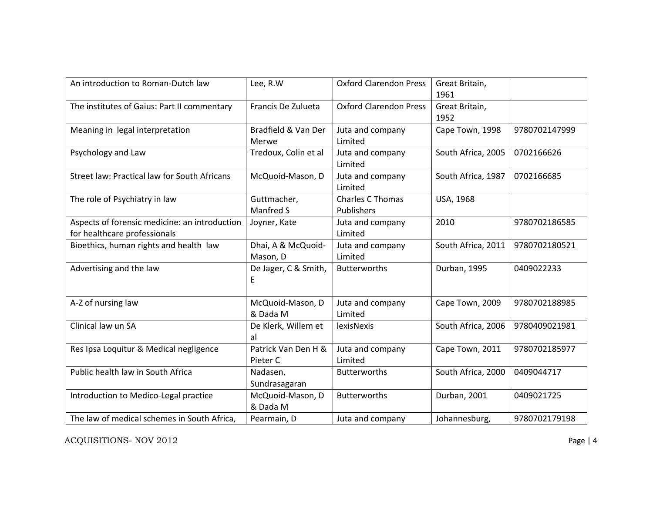| An introduction to Roman-Dutch law                                            | Lee, R.W                        | <b>Oxford Clarendon Press</b>  | Great Britain,<br>1961 |               |
|-------------------------------------------------------------------------------|---------------------------------|--------------------------------|------------------------|---------------|
| The institutes of Gaius: Part II commentary                                   | Francis De Zulueta              | <b>Oxford Clarendon Press</b>  | Great Britain,<br>1952 |               |
| Meaning in legal interpretation                                               | Bradfield & Van Der             | Juta and company               | Cape Town, 1998        | 9780702147999 |
|                                                                               | Merwe                           | Limited                        |                        |               |
| Psychology and Law                                                            | Tredoux, Colin et al            | Juta and company<br>Limited    | South Africa, 2005     | 0702166626    |
| Street law: Practical law for South Africans                                  | McQuoid-Mason, D                | Juta and company<br>Limited    | South Africa, 1987     | 0702166685    |
| The role of Psychiatry in law                                                 | Guttmacher,<br>Manfred S        | Charles C Thomas<br>Publishers | USA, 1968              |               |
| Aspects of forensic medicine: an introduction<br>for healthcare professionals | Joyner, Kate                    | Juta and company<br>Limited    | 2010                   | 9780702186585 |
| Bioethics, human rights and health law                                        | Dhai, A & McQuoid-<br>Mason, D  | Juta and company<br>Limited    | South Africa, 2011     | 9780702180521 |
| Advertising and the law                                                       | De Jager, C & Smith,<br>Е       | <b>Butterworths</b>            | Durban, 1995           | 0409022233    |
| A-Z of nursing law                                                            | McQuoid-Mason, D<br>& Dada M    | Juta and company<br>Limited    | Cape Town, 2009        | 9780702188985 |
| Clinical law un SA                                                            | De Klerk, Willem et<br>al       | lexisNexis                     | South Africa, 2006     | 9780409021981 |
| Res Ipsa Loquitur & Medical negligence                                        | Patrick Van Den H &<br>Pieter C | Juta and company<br>Limited    | Cape Town, 2011        | 9780702185977 |
| Public health law in South Africa                                             | Nadasen,<br>Sundrasagaran       | <b>Butterworths</b>            | South Africa, 2000     | 0409044717    |
| Introduction to Medico-Legal practice                                         | McQuoid-Mason, D<br>& Dada M    | <b>Butterworths</b>            | Durban, 2001           | 0409021725    |
| The law of medical schemes in South Africa,                                   | Pearmain, D                     | Juta and company               | Johannesburg,          | 9780702179198 |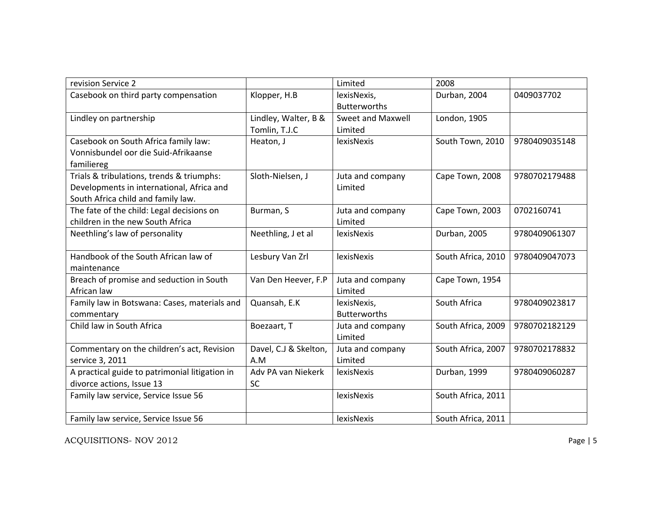| revision Service 2                             |                       | Limited             | 2008               |               |
|------------------------------------------------|-----------------------|---------------------|--------------------|---------------|
| Casebook on third party compensation           | Klopper, H.B          | lexisNexis,         | Durban, 2004       | 0409037702    |
|                                                |                       | <b>Butterworths</b> |                    |               |
| Lindley on partnership                         | Lindley, Walter, B &  | Sweet and Maxwell   | London, 1905       |               |
|                                                | Tomlin, T.J.C         | Limited             |                    |               |
| Casebook on South Africa family law:           | Heaton, J             | lexisNexis          | South Town, 2010   | 9780409035148 |
| Vonnisbundel oor die Suid-Afrikaanse           |                       |                     |                    |               |
| familiereg                                     |                       |                     |                    |               |
| Trials & tribulations, trends & triumphs:      | Sloth-Nielsen, J      | Juta and company    | Cape Town, 2008    | 9780702179488 |
| Developments in international, Africa and      |                       | Limited             |                    |               |
| South Africa child and family law.             |                       |                     |                    |               |
| The fate of the child: Legal decisions on      | Burman, S             | Juta and company    | Cape Town, 2003    | 0702160741    |
| children in the new South Africa               |                       | Limited             |                    |               |
| Neethling's law of personality                 | Neethling, J et al    | lexisNexis          | Durban, 2005       | 9780409061307 |
| Handbook of the South African law of           | Lesbury Van Zrl       | lexisNexis          | South Africa, 2010 | 9780409047073 |
| maintenance                                    |                       |                     |                    |               |
| Breach of promise and seduction in South       | Van Den Heever, F.P   | Juta and company    | Cape Town, 1954    |               |
| African law                                    |                       | Limited             |                    |               |
| Family law in Botswana: Cases, materials and   | Quansah, E.K          | lexisNexis,         | South Africa       | 9780409023817 |
| commentary                                     |                       | <b>Butterworths</b> |                    |               |
| Child law in South Africa                      | Boezaart, T           | Juta and company    | South Africa, 2009 | 9780702182129 |
|                                                |                       | Limited             |                    |               |
| Commentary on the children's act, Revision     | Davel, C.J & Skelton, | Juta and company    | South Africa, 2007 | 9780702178832 |
| service 3, 2011                                | A.M                   | Limited             |                    |               |
| A practical guide to patrimonial litigation in | Adv PA van Niekerk    | <b>lexisNexis</b>   | Durban, 1999       | 9780409060287 |
| divorce actions, Issue 13                      | <b>SC</b>             |                     |                    |               |
| Family law service, Service Issue 56           |                       | lexisNexis          | South Africa, 2011 |               |
| Family law service, Service Issue 56           |                       | lexisNexis          | South Africa, 2011 |               |